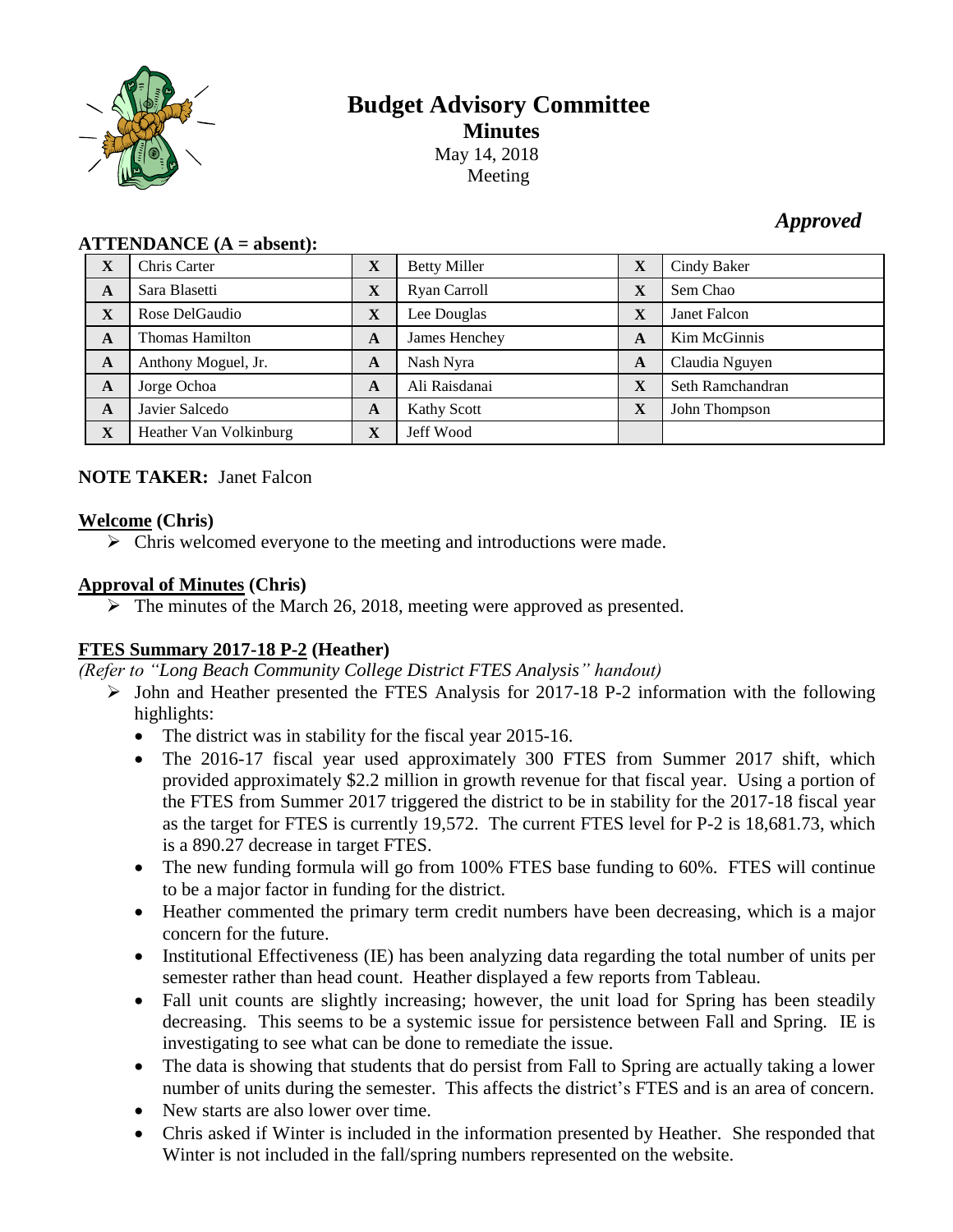

# **Budget Advisory Committee Minutes** May 14, 2018 Meeting

## *Approved*

| $\mathbf{H}$ |                        |              |                     |              |                  |
|--------------|------------------------|--------------|---------------------|--------------|------------------|
| X            | Chris Carter           | $\mathbf X$  | <b>Betty Miller</b> | X            | Cindy Baker      |
| $\mathbf{A}$ | Sara Blasetti          | $\mathbf X$  | Ryan Carroll        | X            | Sem Chao         |
| $\mathbf X$  | Rose DelGaudio         | $\mathbf{X}$ | Lee Douglas         | X            | Janet Falcon     |
| A            | <b>Thomas Hamilton</b> | A            | James Henchey       | A            | Kim McGinnis     |
| A            | Anthony Moguel, Jr.    | A            | Nash Nyra           | $\mathbf{A}$ | Claudia Nguyen   |
| A            | Jorge Ochoa            | A            | Ali Raisdanai       | X            | Seth Ramchandran |
| A            | Javier Salcedo         | A            | Kathy Scott         | X            | John Thompson    |
| X            | Heather Van Volkinburg | $\mathbf X$  | Jeff Wood           |              |                  |

#### $ATTENDANCE(A = **sheen**t)$

#### **NOTE TAKER:** Janet Falcon

### **Welcome (Chris)**

 $\triangleright$  Chris welcomed everyone to the meeting and introductions were made.

### **Approval of Minutes (Chris)**

 $\triangleright$  The minutes of the March 26, 2018, meeting were approved as presented.

### **FTES Summary 2017-18 P-2 (Heather)**

*(Refer to "Long Beach Community College District FTES Analysis" handout)*

- $\triangleright$  John and Heather presented the FTES Analysis for 2017-18 P-2 information with the following highlights:
	- The district was in stability for the fiscal year 2015-16.
	- The 2016-17 fiscal year used approximately 300 FTES from Summer 2017 shift, which provided approximately \$2.2 million in growth revenue for that fiscal year. Using a portion of the FTES from Summer 2017 triggered the district to be in stability for the 2017-18 fiscal year as the target for FTES is currently 19,572. The current FTES level for P-2 is 18,681.73, which is a 890.27 decrease in target FTES.
	- The new funding formula will go from 100% FTES base funding to 60%. FTES will continue to be a major factor in funding for the district.
	- Heather commented the primary term credit numbers have been decreasing, which is a major concern for the future.
	- Institutional Effectiveness (IE) has been analyzing data regarding the total number of units per semester rather than head count. Heather displayed a few reports from Tableau.
	- Fall unit counts are slightly increasing; however, the unit load for Spring has been steadily decreasing. This seems to be a systemic issue for persistence between Fall and Spring. IE is investigating to see what can be done to remediate the issue.
	- The data is showing that students that do persist from Fall to Spring are actually taking a lower number of units during the semester. This affects the district's FTES and is an area of concern.
	- New starts are also lower over time.
	- Chris asked if Winter is included in the information presented by Heather. She responded that Winter is not included in the fall/spring numbers represented on the website.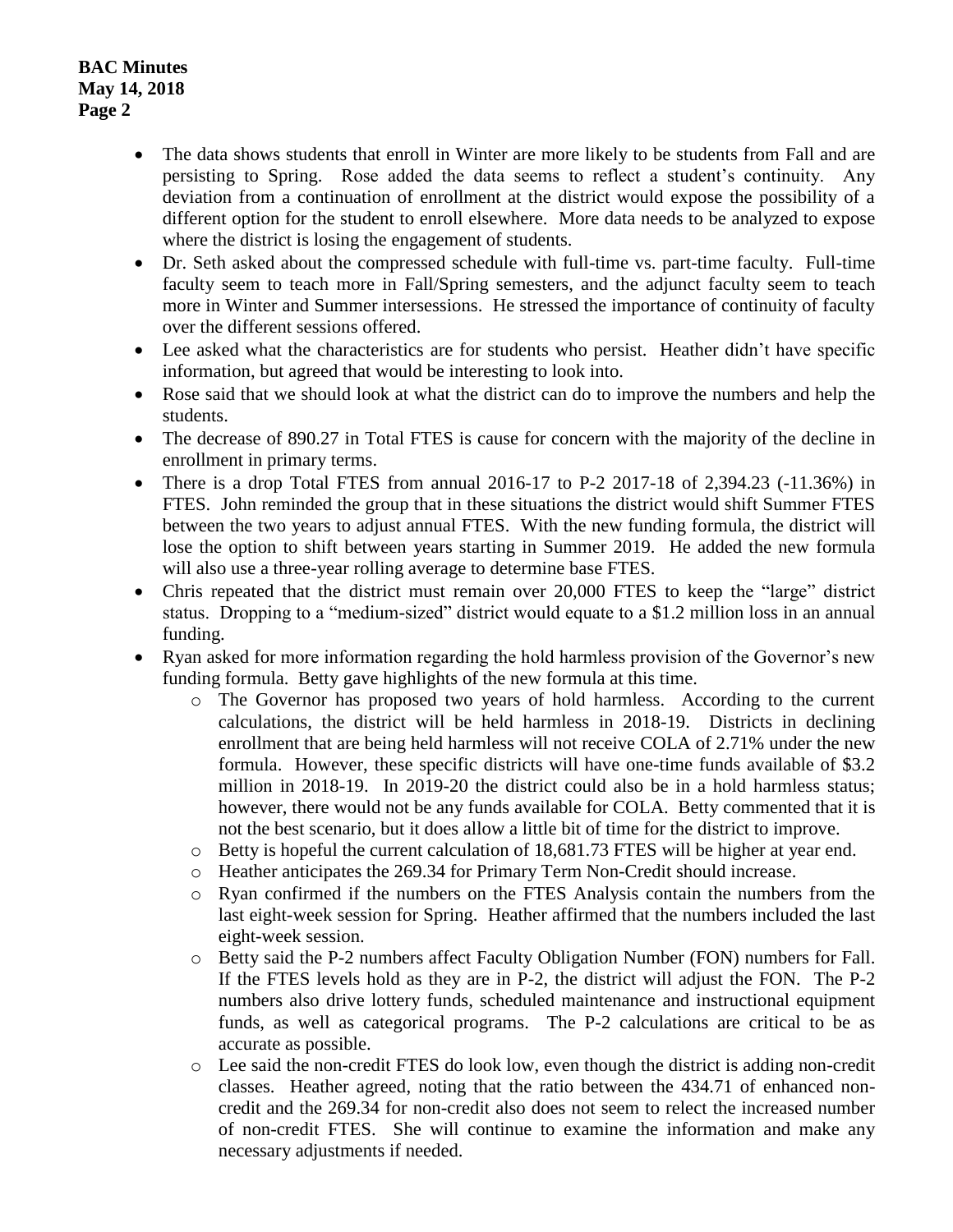- The data shows students that enroll in Winter are more likely to be students from Fall and are persisting to Spring. Rose added the data seems to reflect a student's continuity. Any deviation from a continuation of enrollment at the district would expose the possibility of a different option for the student to enroll elsewhere. More data needs to be analyzed to expose where the district is losing the engagement of students.
- Dr. Seth asked about the compressed schedule with full-time vs. part-time faculty. Full-time faculty seem to teach more in Fall/Spring semesters, and the adjunct faculty seem to teach more in Winter and Summer intersessions. He stressed the importance of continuity of faculty over the different sessions offered.
- Lee asked what the characteristics are for students who persist. Heather didn't have specific information, but agreed that would be interesting to look into.
- Rose said that we should look at what the district can do to improve the numbers and help the students.
- The decrease of 890.27 in Total FTES is cause for concern with the majority of the decline in enrollment in primary terms.
- There is a drop Total FTES from annual  $2016-17$  to P-2  $2017-18$  of  $2,394.23$  ( $-11.36\%$ ) in FTES. John reminded the group that in these situations the district would shift Summer FTES between the two years to adjust annual FTES. With the new funding formula, the district will lose the option to shift between years starting in Summer 2019. He added the new formula will also use a three-year rolling average to determine base FTES.
- Chris repeated that the district must remain over 20,000 FTES to keep the "large" district status. Dropping to a "medium-sized" district would equate to a \$1.2 million loss in an annual funding.
- Ryan asked for more information regarding the hold harmless provision of the Governor's new funding formula. Betty gave highlights of the new formula at this time.
	- o The Governor has proposed two years of hold harmless. According to the current calculations, the district will be held harmless in 2018-19. Districts in declining enrollment that are being held harmless will not receive COLA of 2.71% under the new formula. However, these specific districts will have one-time funds available of \$3.2 million in 2018-19. In 2019-20 the district could also be in a hold harmless status; however, there would not be any funds available for COLA. Betty commented that it is not the best scenario, but it does allow a little bit of time for the district to improve.
	- o Betty is hopeful the current calculation of 18,681.73 FTES will be higher at year end.
	- o Heather anticipates the 269.34 for Primary Term Non-Credit should increase.
	- o Ryan confirmed if the numbers on the FTES Analysis contain the numbers from the last eight-week session for Spring. Heather affirmed that the numbers included the last eight-week session.
	- o Betty said the P-2 numbers affect Faculty Obligation Number (FON) numbers for Fall. If the FTES levels hold as they are in P-2, the district will adjust the FON. The P-2 numbers also drive lottery funds, scheduled maintenance and instructional equipment funds, as well as categorical programs. The P-2 calculations are critical to be as accurate as possible.
	- o Lee said the non-credit FTES do look low, even though the district is adding non-credit classes. Heather agreed, noting that the ratio between the 434.71 of enhanced noncredit and the 269.34 for non-credit also does not seem to relect the increased number of non-credit FTES. She will continue to examine the information and make any necessary adjustments if needed.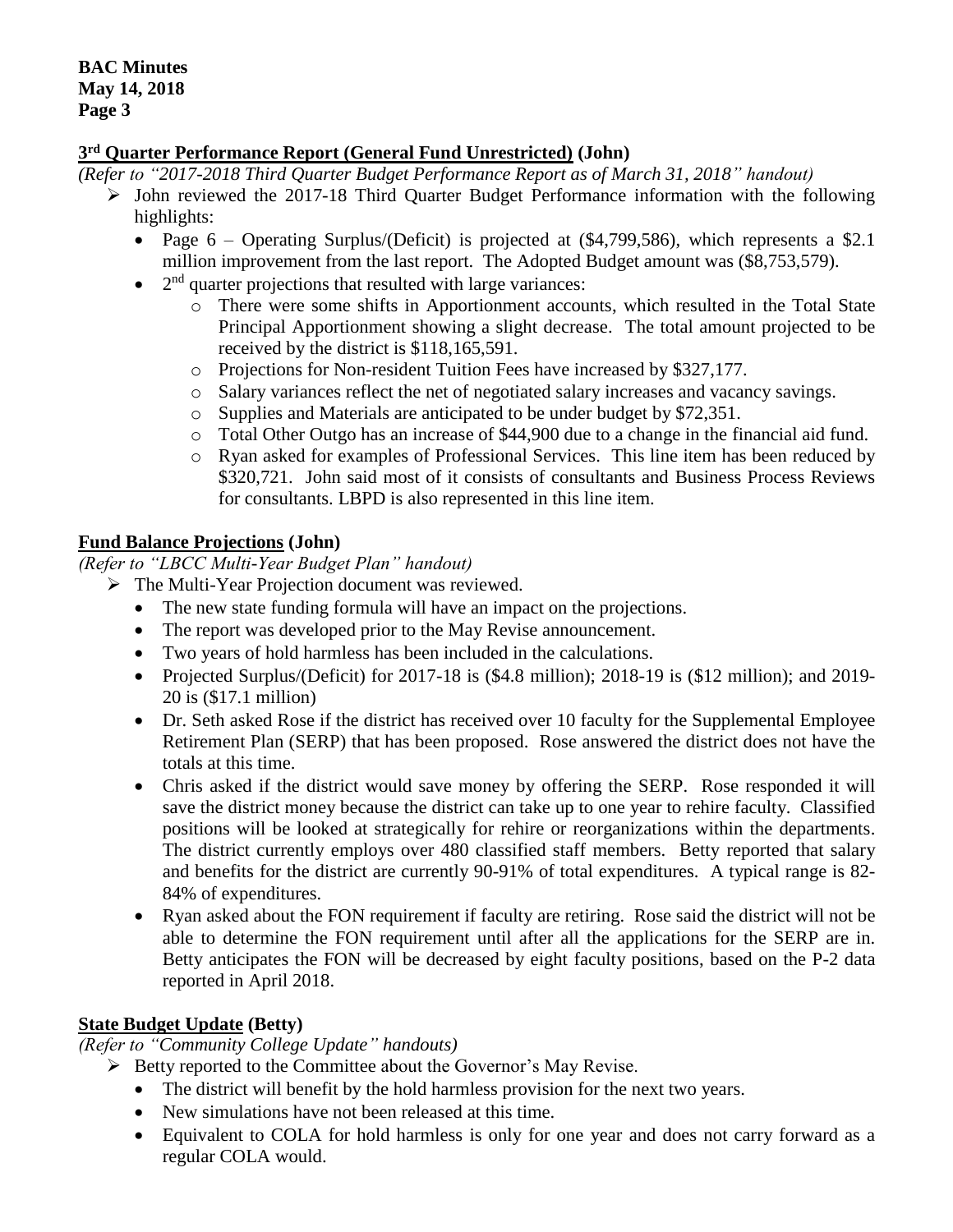### **3 rd Quarter Performance Report (General Fund Unrestricted) (John)**

*(Refer to "2017-2018 Third Quarter Budget Performance Report as of March 31, 2018" handout)*

- $\triangleright$  John reviewed the 2017-18 Third Quarter Budget Performance information with the following highlights:
	- Page  $6$  Operating Surplus/(Deficit) is projected at  $(\$4,799,586)$ , which represents a \$2.1 million improvement from the last report. The Adopted Budget amount was (\$8,753,579).
	- $\bullet$  $2<sup>nd</sup>$  quarter projections that resulted with large variances:
		- o There were some shifts in Apportionment accounts, which resulted in the Total State Principal Apportionment showing a slight decrease. The total amount projected to be received by the district is \$118,165,591.
		- o Projections for Non-resident Tuition Fees have increased by \$327,177.
		- o Salary variances reflect the net of negotiated salary increases and vacancy savings.
		- o Supplies and Materials are anticipated to be under budget by \$72,351.
		- o Total Other Outgo has an increase of \$44,900 due to a change in the financial aid fund.
		- o Ryan asked for examples of Professional Services. This line item has been reduced by \$320,721. John said most of it consists of consultants and Business Process Reviews for consultants. LBPD is also represented in this line item.

### **Fund Balance Projections (John)**

*(Refer to "LBCC Multi-Year Budget Plan" handout)*

The Multi-Year Projection document was reviewed.

- The new state funding formula will have an impact on the projections.
- The report was developed prior to the May Revise announcement.
- Two years of hold harmless has been included in the calculations.
- Projected Surplus/(Deficit) for 2017-18 is (\$4.8 million); 2018-19 is (\$12 million); and 2019-20 is (\$17.1 million)
- Dr. Seth asked Rose if the district has received over 10 faculty for the Supplemental Employee Retirement Plan (SERP) that has been proposed. Rose answered the district does not have the totals at this time.
- Chris asked if the district would save money by offering the SERP. Rose responded it will save the district money because the district can take up to one year to rehire faculty. Classified positions will be looked at strategically for rehire or reorganizations within the departments. The district currently employs over 480 classified staff members. Betty reported that salary and benefits for the district are currently 90-91% of total expenditures. A typical range is 82- 84% of expenditures.
- Ryan asked about the FON requirement if faculty are retiring. Rose said the district will not be able to determine the FON requirement until after all the applications for the SERP are in. Betty anticipates the FON will be decreased by eight faculty positions, based on the P-2 data reported in April 2018.

#### **State Budget Update (Betty)**

*(Refer to "Community College Update" handouts)*

- $\triangleright$  Betty reported to the Committee about the Governor's May Revise.
	- The district will benefit by the hold harmless provision for the next two years.
	- New simulations have not been released at this time.
	- Equivalent to COLA for hold harmless is only for one year and does not carry forward as a regular COLA would.